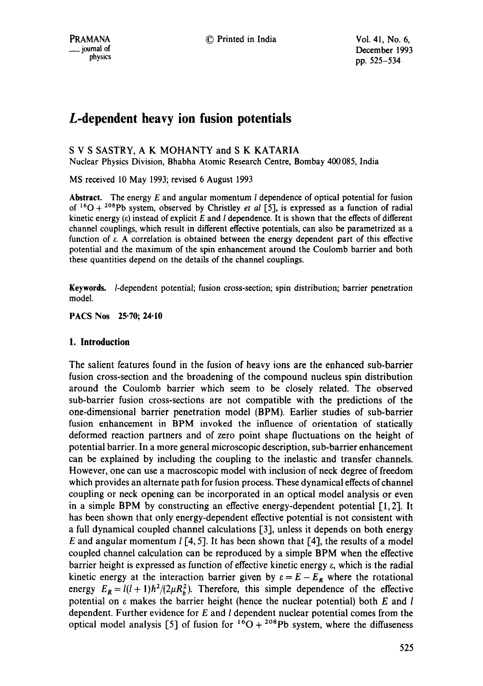December 1993 pp. 525-534

# **L-dependent heavy ion fusion potentials**

# S V S SASTRY, A K MOHANTY and S K KATARIA

Nuclear Physics Division, Bhabha Atomic Research Centre, Bombay 400085, India

MS received 10 May 1993; revised 6 August 1993

**Abstract.** The energy E and angular momentum I dependence of optical potential for fusion of <sup>16</sup>O + <sup>208</sup>Pb system, observed by Christley *et al* [5], is expressed as a function of radial kinetic energy  $(\varepsilon)$  instead of explicit E and I dependence. It is shown that the effects of different channel couplings, which result in different effective potentials, can also be parametrized as a function of e. A correlation is obtained between the energy dependent part of this effective potential and the maximum of the spin enhancement around the Coulomb barrier and both these quantities depend on the details of the channel couplings.

**Keywords.** /-dependent potential; fusion cross-section; spin distribution; barrier penetration model.

**PACS Nos 25.70; 24-10** 

# **1. Introduction**

The salient features found in the fusion of heavy ions are the enhanced sub-barrier fusion cross-section and the broadening of the compound nucleus spin distribution around the Coulomb barrier which seem to be closely related. The observed sub-barrier fusion cross-sections are not compatible with the predictions of the one-dimensional barrier penetration model (BPM). Earlier studies of sub-barrier fusion enhancement in BPM invoked the influence of orientation of statically deformed reaction partners and of zero point shape fluctuations on the height of potential barrier. In a more general microscopic description, sub-barrier enhancement can be explained by including the coupling to the inelastic and transfer channels. However, one can use a macroscopic model with inclusion of neck degree of freedom which provides an alternate path for fusion process. These dynamical effects of channel coupling or neck opening can be incorporated in an optical model analysis or even in a simple BPM by constructing an effective energy-dependent potential  $[1,2]$ . It has been shown that only energy-dependent effective potential is not consistent with a full dynamical coupled channel calculations [3], unless it depends on both energy E and angular momentum l [4, 5]. It has been shown that [4], the results of a model coupled channel calculation can be reproduced by a simple BPM when the effective barrier height is expressed as function of effective kinetic energy e, which is the radial kinetic energy at the interaction barrier given by  $\varepsilon = E - E_R$  where the rotational energy  $E_R = l(l+1)\hbar^2/(2\mu R_b^2)$ . Therefore, this simple dependence of the effective potential on  $\varepsilon$  makes the barrier height (hence the nuclear potential) both  $E$  and  $l$ dependent. Further evidence for E and I dependent nuclear potential comes from the optical model analysis [5] of fusion for  $16O + 208Pb$  system, where the diffuseness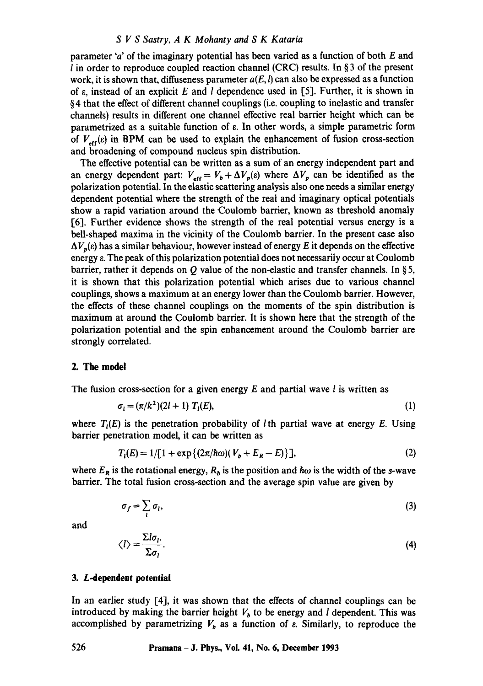## *S V S Sastry, A K Mohanty and S K Kataria*

parameter 'a' of the imaginary potential has been varied as a function of both E and l in order to reproduce coupled reaction channel (CRC) results. In § 3 of the present work, it is shown that, diffuseness parameter  $a(E, l)$  can also be expressed as a function of  $\varepsilon$ , instead of an explicit E and I dependence used in [5]. Further, it is shown in § 4 that the effect of different channel couplings (i.e. coupling to inelastic and transfer channels) results in different one channel effective real barrier height which can be parametrized as a suitable function of e. In other words, a simple parametric form of  $V_{eff}(\varepsilon)$  in BPM can be used to explain the enhancement of fusion cross-section and broadening of compound nucleus spin distribution.

The effective potential can be written as a sum of an energy independent part and an energy dependent part:  $V_{\text{eff}} = V_b + \Delta V_p(\varepsilon)$  where  $\Delta V_p$  can be identified as the polarization potential. In the elastic scattering analysis also one needs a similar energy dependent potential where the strength of the real and imaginary optical potentials show a rapid variation around the Coulomb barrier, known as threshold anomaly [6]. Further evidence shows the strength of the real potential versus energy is a bell-shaped maxima in the vicinity of the Coulomb barrier. In the present case also  $\Delta V_n(\epsilon)$  has a similar behaviour, however instead of energy E it depends on the effective energy  $\varepsilon$ . The peak of this polarization potential does not necessarily occur at Coulomb barrier, rather it depends on Q value of the non-elastic and transfer channels. In §5, it is shown that this polarization potential which arises due to various channel couplings, shows a maximum at an energy lower than the Coulomb barrier. However, the effects of these channel couplings on the moments of the spin distribution is maximum at around the Coulomb barrier. It is shown here that the strength of the polarization potential and the spin enhancement around the Coulomb barrier are strongly correlated.

## 2. The model

The fusion cross-section for a given energy  $E$  and partial wave  $l$  is written as

$$
\sigma_i = (\pi/k^2)(2l+1) T_i(E), \tag{1}
$$

where  $T_i(E)$  is the penetration probability of *l* th partial wave at energy E. Using barrier penetration model, it can be written as

$$
T_{I}(E) = 1/[1 + \exp\{(2\pi/\hbar\omega)(V_{b} + E_{R} - E)\}], \qquad (2)
$$

where  $E_R$  is the rotational energy,  $R_b$  is the position and  $\hbar\omega$  is the width of the s-wave barrier. The total fusion cross-section and the average spin value are given by

$$
\sigma_f = \sum_i \sigma_i,\tag{3}
$$

and

$$
\langle l \rangle = \frac{\Sigma l \sigma_l}{\Sigma \sigma_l}.
$$
 (4)

## **3. L-dependent potential**

In an earlier study [4], it was shown that the effects of channel couplings can be introduced by making the barrier height  $V<sub>b</sub>$  to be energy and *l* dependent. This was accomplished by parametrizing  $V_b$  as a function of  $\varepsilon$ . Similarly, to reproduce the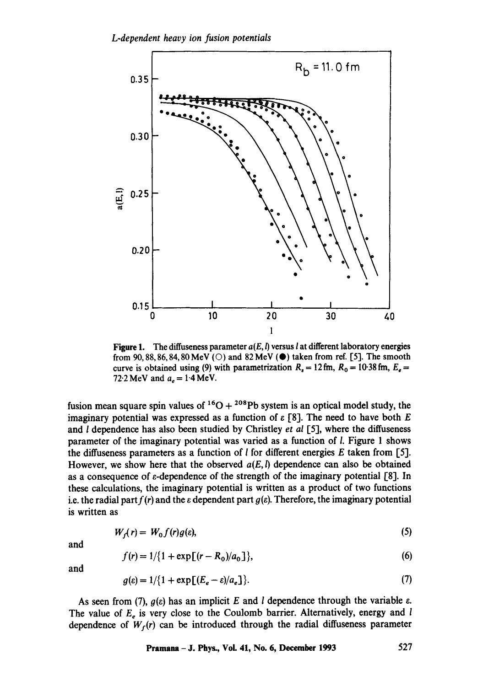

Figure 1. The diffuseness parameter  $a(E, l)$  versus l at different laboratory energies from 90, 88, 86, 84, 80 MeV ( $\circ$ ) and 82 MeV ( $\bullet$ ) taken from ref. [5]. The smooth curve is obtained using (9) with parametrization  $R_1 = 12$  fm,  $R_0 = 10.38$  fm,  $E_0 =$ 72.2 MeV and  $a_e = 1.4$  MeV.

fusion mean square spin values of  ${}^{16}O + {}^{208}Pb$  system is an optical model study, the imaginary potential was expressed as a function of  $\varepsilon$  [8]. The need to have both E and I dependence has also been studied by Christley *et al* [5], where the diffuseness parameter of the imaginary potential was varied as a function of I. Figure 1 shows the diffuseness parameters as a function of *l* for different energies *E* taken from [5]. However, we show here that the observed  $a(E, l)$  dependence can also be obtained as a consequence of  $\varepsilon$ -dependence of the strength of the imaginary potential [8]. In these calculations, the imaginary potential is written as a product of two functions i.e. the radial part  $f(r)$  and the  $\varepsilon$  dependent part  $g(\varepsilon)$ . Therefore, the imaginary potential is written as

$$
W_f(r) = W_0 f(r) g(\varepsilon), \tag{5}
$$

and

$$
f(r) = 1/\{1 + \exp[(r - R_0)/a_0]\},\tag{6}
$$

and

$$
g(\varepsilon) = 1/\{1 + \exp\left[(E_e - \varepsilon)/a_e\right]\}.
$$
 (7)

As seen from (7),  $g(\varepsilon)$  has an implicit E and l dependence through the variable  $\varepsilon$ . The value of  $E_e$  is very close to the Coulomb barrier. Alternatively, energy and  $l$ dependence of  $W_f(r)$  can be introduced through the radial diffuseness parameter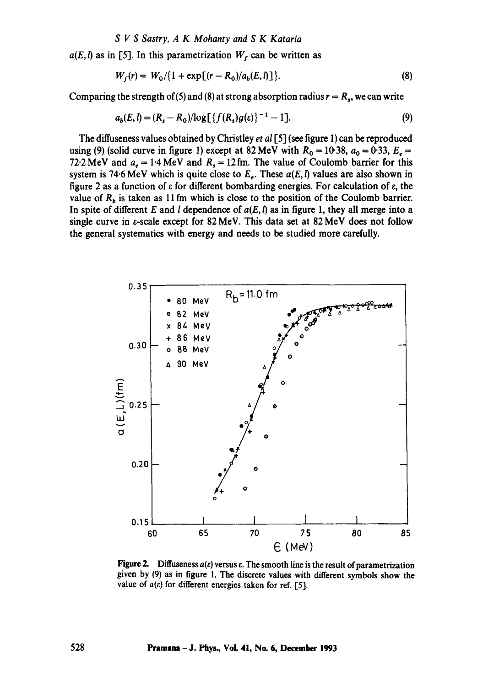# *S V S Sastry, A K Mohanty and S K Kataria*

 $a(E, l)$  as in [5]. In this parametrization  $W<sub>f</sub>$  can be written as

$$
W_f(r) = W_0 / \{1 + \exp[(r - R_0)/a_b(E, l)]\}.
$$
 (8)

Comparing the strength of (5) and (8) at strong absorption radius  $r = R_s$ , we can write

$$
a_b(E, l) = (R_s - R_0)/\log[\{f(R_s)g(\varepsilon)\}^{-1} - 1].
$$
\n(9)

The diffuseness values obtained by Christley *et al* [5] (see figure 1) can be reproduced using (9) (solid curve in figure 1) except at 82 MeV with  $R_0 = 10.38$ ,  $a_0 = 0.33$ ,  $E_e =$ 72.2 MeV and  $a_e = 1.4$  MeV and  $R_s = 12$  fm. The value of Coulomb barrier for this system is 74.6 MeV which is quite close to  $E_e$ . These  $a(E, l)$  values are also shown in figure 2 as a function of  $\varepsilon$  for different bombarding energies. For calculation of  $\varepsilon$ , the value of  $R_h$  is taken as 11 fm which is close to the position of the Coulomb barrier. In spite of different E and *l* dependence of  $a(E, l)$  as in figure 1, they all merge into a single curve in e-scale except for 82 MeV. This data set at 82 MeV does not follow the general systematics with energy and needs to be studied more carefully.



Figure 2. Diffuseness  $a(\varepsilon)$  versus  $\varepsilon$ . The smooth line is the result of parametrization given by (9) as in figure 1. The discrete values with different symbols show the value of  $a(\varepsilon)$  for different energies taken for ref. [5].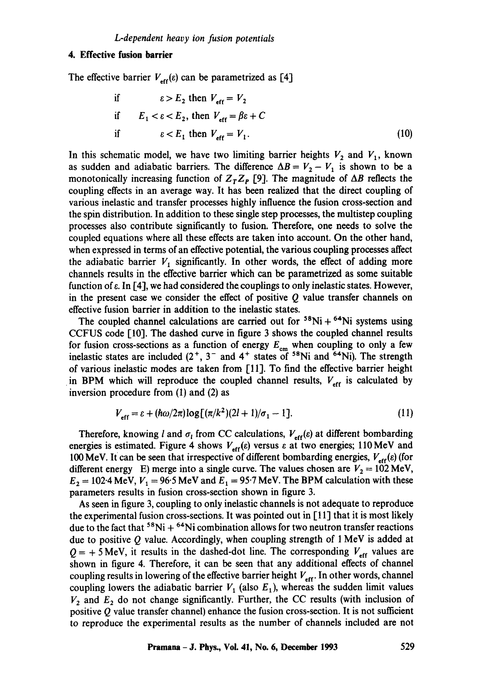# **4. Effective fusion barrier**

The effective barrier  $V_{\text{eff}}(\varepsilon)$  can be parametrized as [4]

if 
$$
\varepsilon > E_2
$$
 then  $V_{\text{eff}} = V_2$   
if  $E_1 < \varepsilon < E_2$ , then  $V_{\text{eff}} = \beta \varepsilon + C$   
if  $\varepsilon < E_1$  then  $V_{\text{eff}} = V_1$ . (10)

In this schematic model, we have two limiting barrier heights  $V_2$  and  $V_1$ , known as sudden and adiabatic barriers. The difference  $\Delta B = V_2 - V_1$  is shown to be a monotonically increasing function of  $Z_T Z_P$  [9]. The magnitude of  $\Delta B$  reflects the coupling effects in an average way. It has been realized that the direct coupling of various inelastic and transfer processes highly influence the fusion cross-section and the spin distribution. In addition to these single step processes, the multistep coupling processes also contribute significantly to fusion. Therefore, one needs to solve the coupled equations where all these effects are taken into account. On the other hand, when expressed in terms of an effective potential, the various coupling processes affect the adiabatic barrier  $V_1$  significantly. In other words, the effect of adding more channels results in the effective barrier which can be parametrized as some suitable function of  $\varepsilon$ . In  $[4]$ , we had considered the couplings to only inelastic states. However, in the present case we consider the effect of positive  $Q$  value transfer channels on effective fusion barrier in addition to the inelastic states.

The coupled channel calculations are carried out for  $58Ni + 64Ni$  systems using CCFUS code [10]. The dashed curve in figure 3 shows the coupled channel results for fusion cross-sections as a function of energy  $E_{cm}$  when coupling to only a few inelastic states are included  $(2^+, 3^-$  and  $4^+$  states of  $58$ Ni and  $58$ Ni). The strength of various inelastic modes are taken from [11]. To find the effective barrier height in BPM which will reproduce the coupled channel results,  $V_{\text{eff}}$  is calculated by inversion procedure from (1) and (2) as

$$
V_{\text{eff}} = \varepsilon + (\hbar \omega / 2\pi) \log \left[ (\pi / k^2)(2l+1)/\sigma_1 - 1 \right]. \tag{11}
$$

Therefore, knowing l and  $\sigma_l$  from CC calculations,  $V_{\text{eff}}(\varepsilon)$  at different bombarding energies is estimated. Figure 4 shows  $V_{\text{eff}}(\varepsilon)$  versus  $\varepsilon$  at two energies; 110 MeV and 100 MeV. It can be seen that irrespective of different bombarding energies,  $V_{\text{eff}}(\varepsilon)$  (for different energy E) merge into a single curve. The values chosen are  $V_2 = 102 \text{ MeV}$ ,  $E_2 = 102.4$  MeV,  $V_1 = 96.5$  MeV and  $E_1 = 95.7$  MeV. The BPM calculation with these parameters results in fusion cross-section shown in figure 3.

As seen in figure 3, coupling to only inelastic channels is not adequate to reproduce the experimental fusion cross-sections. It was pointed out in [11] that it is most likely due to the fact that  ${}^{58}$ Ni +  ${}^{64}$ Ni combination allows for two neutron transfer reactions due to positive  $Q$  value. Accordingly, when coupling strength of  $1 \text{ MeV}$  is added at  $Q = +5$  MeV, it results in the dashed-dot line. The corresponding  $V_{\text{eff}}$  values are shown in figure 4. Therefore, it can be seen that any additional effects of channel coupling results in lowering of the effective barrier height  $V_{\text{eff}}$ . In other words, channel coupling lowers the adiabatic barrier  $V_1$  (also  $E_1$ ), whereas the sudden limit values  $V_2$  and  $E_2$  do not change significantly. Further, the CC results (with inclusion of positive  $Q$  value transfer channel) enhance the fusion cross-section. It is not sufficient to reproduce the experimental results as the number of channels included are not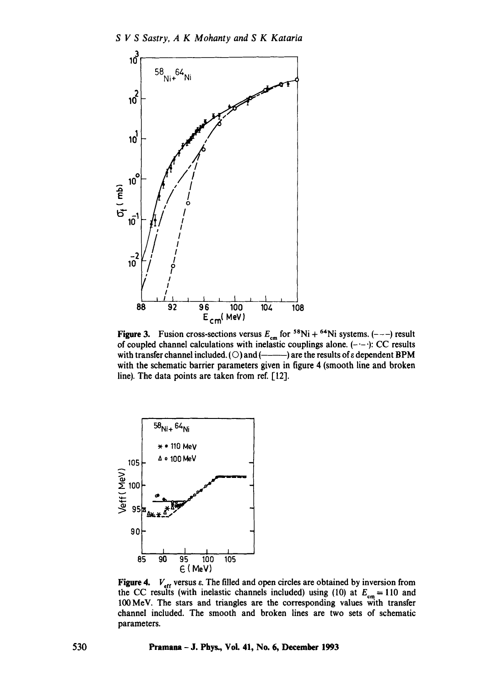

**Figure 3.** Fusion cross-sections versus  $E_{cm}$  for  ${}^{58}\text{Ni} + {}^{64}\text{Ni}$  systems. (---) result of coupled channel calculations with inelastic couplings alone.  $(-,-)$ : CC results with transfer channel included. (O) and (--------) are the results of  $\varepsilon$  dependent BPM with the schematic barrier parameters given in figure 4 (smooth line and broken line). The data points are taken from ref. [12].



**Figure 4.**  $V_{\text{eff}}$  versus  $\varepsilon$ . The filled and open circles are obtained by inversion from the CC results (with inelastic channels included) using (10) at  $E_{cm} = 110$  and 100MeV. The stars and triangles are the corresponding values with transfer channel included. The smooth and broken lines are two sets of schematic parameters.

530 Pramana - J. Phys., Voi. 41, No. 6, December 1993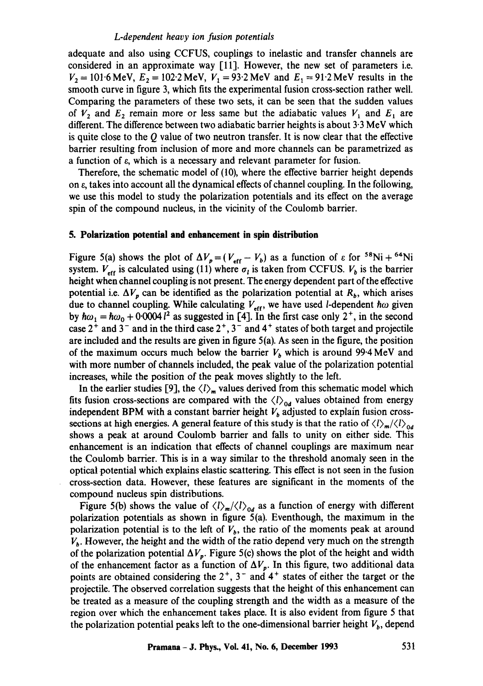#### *L-dependent heavy ion fusion potentials*

adequate and also using CCFUS, couplings to inelastic and transfer channels are considered in an approximate way  $[11]$ . However, the new set of parameters i.e.  $V_2 = 101.6 \text{ MeV}, E_2 = 102.2 \text{ MeV}, V_1 = 93.2 \text{ MeV}$  and  $E_1 = 91.2 \text{ MeV}$  results in the smooth curve in figure 3, which fits the experimental fusion cross-section rather well. Comparing the parameters of these two sets, it can be seen that the sudden values of  $V_2$  and  $E_2$  remain more or less same but the adiabatic values  $V_1$  and  $E_1$  are different. The difference between two adiabatic barrier heights is about 3.3 MeV which is quite close to the  $\ddot{o}$  value of two neutron transfer. It is now clear that the effective barrier resulting from inclusion of more and more channels can be parametrized as a function of  $\varepsilon$ , which is a necessary and relevant parameter for fusion.

Therefore, the schematic model of (10), where the effective barrier height depends on  $\varepsilon$ , takes into account all the dynamical effects of channel coupling. In the following, we use this model to study the polarization potentials and its effect on the average spin of the compound nucleus, in the vicinity of the Coulomb barrier.

## **5. Polarization potential and enhancement in spin distribution**

Figure 5(a) shows the plot of  $\Delta V_p = (V_{\text{eff}} - V_b)$  as a function of  $\varepsilon$  for <sup>58</sup>Ni + <sup>64</sup>Ni system.  $V_{\text{eff}}$  is calculated using (11) where  $\sigma_l$  is taken from CCFUS.  $V_b$  is the barrier height when channel coupling is not present. The energy dependent part of the effective potential i.e.  $\Delta V_p$  can be identified as the polarization potential at  $R_b$ , which arises due to channel coupling. While calculating  $V_{\text{eff}}$ , we have used *l*-dependent  $\hbar\omega$  given by  $\hbar\omega_1 = \hbar\omega_0 + 0.0004$  <sup>2</sup> as suggested in [4]. In the first case only 2<sup>+</sup>, in the second case  $2^+$  and  $3^-$  and in the third case  $2^+$ ,  $3^-$  and  $4^+$  states of both target and projectile are included and the results are given in figure 5(a). As seen in the figure, the position of the maximum occurs much below the barrier  $V_b$  which is around 99.4 MeV and with more number of channels included, the peak value of the polarization potential increases, while the position of the peak moves slightly to the left.

In the earlier studies [9], the  $\langle l \rangle_m$  values derived from this schematic model which fits fusion cross-sections are compared with the  $\langle l \rangle_{0d}$  values obtained from energy independent BPM with a constant barrier height  $V<sub>b</sub>$  adjusted to explain fusion crosssections at high energies. A general feature of this study is that the ratio of  $\langle l \rangle_m / \langle l \rangle_{0d}$ shows a peak at around Coulomb barrier and falls to unity on either side. This enhancement is an indication that effects of channel couplings are maximum near the Coulomb barrier. This is in a way similar to the threshold anomaly seen in the optical potential which explains elastic scattering. This effect is not seen in the fusion cross-section data. However, these features are significant in the moments of the compound nucleus spin distributions.

Figure 5(b) shows the value of  $\langle l \rangle_m / \langle l \rangle_{0d}$  as a function of energy with different polarization potentials as shown in figure 5(a). Eventhough, the maximum in the polarization potential is to the left of  $V<sub>b</sub>$ , the ratio of the moments peak at around  $V<sub>b</sub>$ . However, the height and the width of the ratio depend very much on the strength of the polarization potential  $\Delta V_p$ . Figure 5(c) shows the plot of the height and width of the enhancement factor as a function of  $\Delta V_p$ . In this figure, two additional data points are obtained considering the  $2^+$ ,  $3^-$  and  $4^+$  states of either the target or the projectile. The observed correlation suggests that the height of this enhancement can be treated as a measure of the coupling strength and the width as a measure of the region over which the enhancement takes place. It is also evident from figure 5 that the polarization potential peaks left to the one-dimensional barrier height  $V<sub>b</sub>$ , depend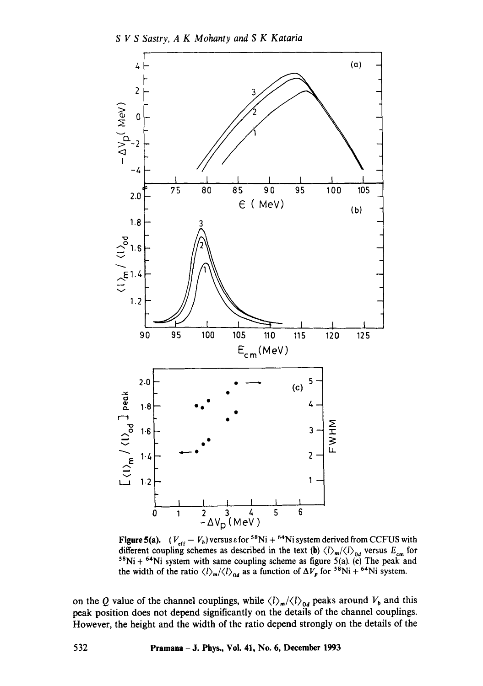

**Figure 5(a).**  $(V_{\text{eff}} - V_b)$  versus  $\varepsilon$  for <sup>58</sup>Ni + <sup>64</sup>Ni system derived from CCFUS with different coupling schemes as described in the text (b)  $\langle l \rangle_m / \langle l \rangle_{0d}$  versus  $E_{cm}$  for  $58$ Ni +  $64$ Ni system with same coupling scheme as figure 5(a). (c) The peak and the width of the ratio  $\langle l \rangle_m / \langle l \rangle_{\alpha d}$  as a function of  $\Delta V_p$  for <sup>58</sup>Ni + <sup>64</sup>Ni system.

on the Q value of the channel couplings, while  $\langle l \rangle_m / \langle l \rangle_{0d}$  peaks around  $V_b$  and this peak position does not depend significantly on the details of the channel couplings. However, the height and the width of the ratio depend strongly on the details of the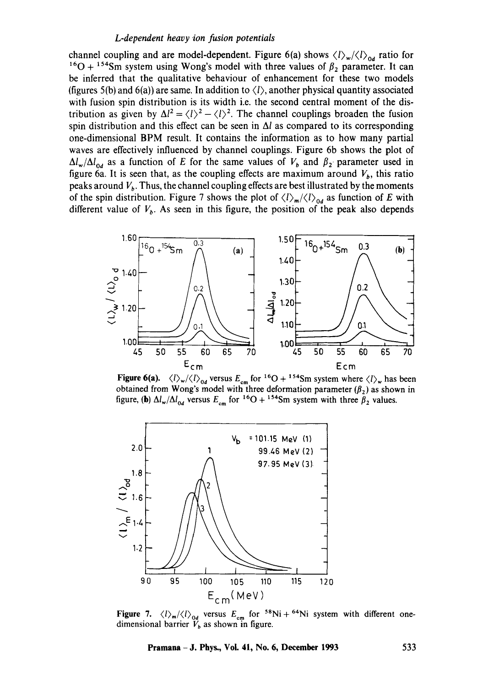## *L-dependent heavy ion fusion potentials*

channel coupling and are model-dependent. Figure 6(a) shows  $\langle l \rangle_w / \langle l \rangle_{0d}$  ratio for <sup>16</sup>O + <sup>154</sup>Sm system using Wong's model with three values of  $\beta_2$  parameter. It can be inferred that the qualitative behaviour of enhancement for these two models (figures 5(b) and 6(a)) are same. In addition to  $\langle l \rangle$ , another physical quantity associated with fusion spin distribution is its width i.e. the second central moment of the distribution as given by  $\Delta l^2 = \langle l \rangle^2 - \langle l \rangle^2$ . The channel couplings broaden the fusion spin distribution and this effect can be seen in  $\Delta l$  as compared to its corresponding one-dimensional BPM result. It contains the information as to how many partial waves are effectively influenced by channel couplings. Figure 6b shows the plot of  $\Delta l_w/\Delta l_{od}$  as a function of E for the same values of  $V_b$  and  $\beta_2$  parameter used in figure 6a. It is seen that, as the coupling effects are maximum around  $V_b$ , this ratio peaks around  $V_b$ . Thus, the channel coupling effects are best illustrated by the moments of the spin distribution. Figure 7 shows the plot of  $\langle l \rangle_m / \langle l \rangle_{0d}$  as function of E with different value of  $V<sub>b</sub>$ . As seen in this figure, the position of the peak also depends



Figure 6(a).  $\langle l \rangle_{w}/\langle l \rangle_{0d}$  versus  $E_{cm}$  for <sup>16</sup>O + <sup>154</sup>Sm system where  $\langle l \rangle_{w}$  has been obtained from Wong's model with three deformation parameter  $(\beta_2)$  as shown in figure, (b)  $\Delta l_w/\Delta l_{od}$  versus  $E_{cm}$  for <sup>16</sup>O + <sup>154</sup>Sm system with three  $\beta_2$  values.



**Figure 7.**  $\langle l \rangle_m / \langle l \rangle_{od}$  versus  $E_{cm}$  for <sup>58</sup>Ni + <sup>64</sup>Ni system with different onedimensional barrier  $V_b$  as shown in figure.